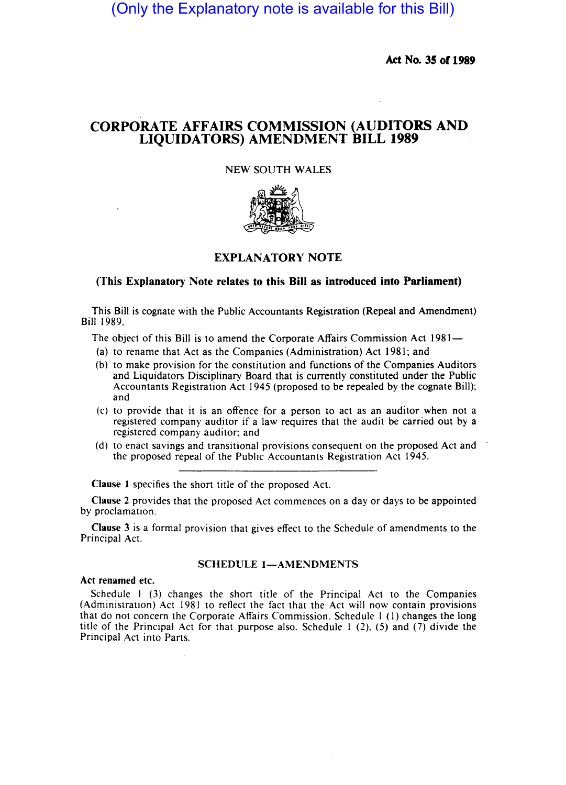(Only the Explanatory note is available for this Bill)

Act No. 35 of 1989

# CORPORATE AFFAIRS COMMISSION (AUDITORS AND LIQUIDATORS) AMENDMENT BILL 1989

## NEW SOUTH WALES



## EXPLANATORY NOTE

### (This Explanatory Note relates to this Bill as introduced into Parliament)

This Bill is cognate with the Public Accountants Registration (Repeal and Amendment) Bill 1989.

The object of this Bill is to amend the Corporate Affairs Commission Act 1981-

- (a) to rename that Act as the Companies (Administration) Act 1981; and
- (b) to make provision for the constitution and functions of the Companies Auditors and Liquidators Disciplinary Board that is currently constituted under the Public Accountants Registration Act 1945 (proposed to be repealed by the cognate Bill); and
- (c) to provide that it is an offence for a person to act as an auditor when not a registered company auditor if a law requires that the audit be carried out by a registered company auditor; and
- (d) to enact savings and transitional provisions consequent on the proposed Act and the proposed repeal of the Public Accountants Registration Act 1945.

Clause I specifies the short title of the proposed Act.

Clause 2 provides that the proposed Act commences on a day or days to be appointed by proclamation.

Clause 3 is a formal provision that gives effect to the Schedule of amendments to the Principal Act.

#### SCHEDULE 1-AMENDMENTS

#### Act renamed etc.

Schedule I (3) changes the short title of the Principal Act to the Companies (Administration) Act 1981 to reflect the fact that the Act will now contain provisions that do not concern the Corporate Affairs Commission. Schedule I (I) changes the long title of the Principal Act for that purpose also. Schedule I (2), (5) and (7) divide the Principal Act into Parts.